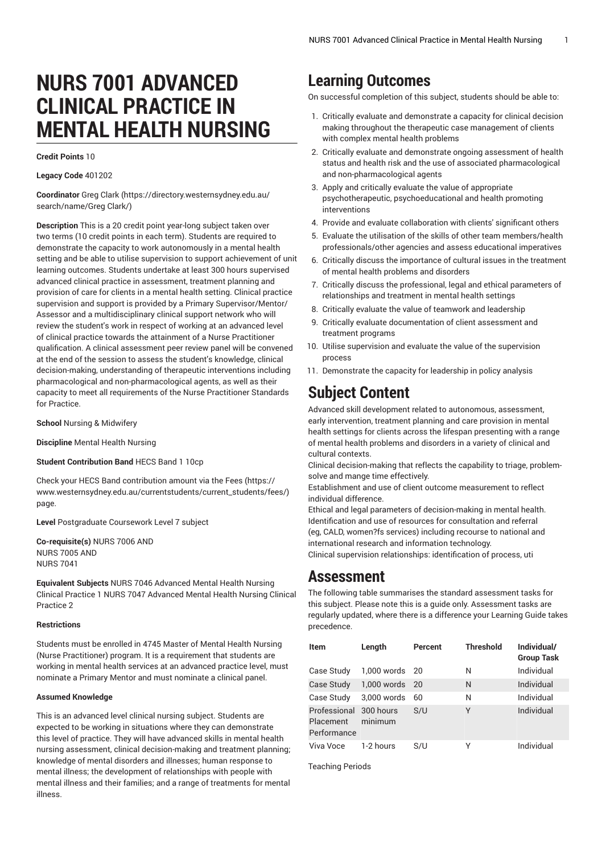# **NURS 7001 ADVANCED CLINICAL PRACTICE IN MENTAL HEALTH NURSING**

**Credit Points** 10

**Legacy Code** 401202

**Coordinator** Greg [Clark \(https://directory.westernsydney.edu.au/](https://directory.westernsydney.edu.au/search/name/Greg Clark/) [search/name/Greg](https://directory.westernsydney.edu.au/search/name/Greg Clark/) Clark/)

**Description** This is a 20 credit point year-long subject taken over two terms (10 credit points in each term). Students are required to demonstrate the capacity to work autonomously in a mental health setting and be able to utilise supervision to support achievement of unit learning outcomes. Students undertake at least 300 hours supervised advanced clinical practice in assessment, treatment planning and provision of care for clients in a mental health setting. Clinical practice supervision and support is provided by a Primary Supervisor/Mentor/ Assessor and a multidisciplinary clinical support network who will review the student's work in respect of working at an advanced level of clinical practice towards the attainment of a Nurse Practitioner qualification. A clinical assessment peer review panel will be convened at the end of the session to assess the student's knowledge, clinical decision-making, understanding of therapeutic interventions including pharmacological and non-pharmacological agents, as well as their capacity to meet all requirements of the Nurse Practitioner Standards for Practice.

**School** Nursing & Midwifery

**Discipline** Mental Health Nursing

**Student Contribution Band** HECS Band 1 10cp

Check your HECS Band contribution amount via the [Fees \(https://](https://www.westernsydney.edu.au/currentstudents/current_students/fees/) [www.westernsydney.edu.au/currentstudents/current\\_students/fees/\)](https://www.westernsydney.edu.au/currentstudents/current_students/fees/) page.

**Level** Postgraduate Coursework Level 7 subject

**Co-requisite(s)** [NURS 7006](/search/?P=NURS%207006) AND [NURS 7005](/search/?P=NURS%207005) AND [NURS 7041](/search/?P=NURS%207041)

**Equivalent Subjects** NURS 7046 Advanced Mental Health Nursing Clinical Practice 1 NURS 7047 Advanced Mental Health Nursing Clinical Practice 2

#### **Restrictions**

Students must be enrolled in 4745 Master of Mental Health Nursing (Nurse Practitioner) program. It is a requirement that students are working in mental health services at an advanced practice level, must nominate a Primary Mentor and must nominate a clinical panel.

#### **Assumed Knowledge**

This is an advanced level clinical nursing subject. Students are expected to be working in situations where they can demonstrate this level of practice. They will have advanced skills in mental health nursing assessment, clinical decision-making and treatment planning; knowledge of mental disorders and illnesses; human response to mental illness; the development of relationships with people with mental illness and their families; and a range of treatments for mental illness.

## **Learning Outcomes**

On successful completion of this subject, students should be able to:

- 1. Critically evaluate and demonstrate a capacity for clinical decision making throughout the therapeutic case management of clients with complex mental health problems
- 2. Critically evaluate and demonstrate ongoing assessment of health status and health risk and the use of associated pharmacological and non-pharmacological agents
- 3. Apply and critically evaluate the value of appropriate psychotherapeutic, psychoeducational and health promoting interventions
- 4. Provide and evaluate collaboration with clients' significant others
- 5. Evaluate the utilisation of the skills of other team members/health professionals/other agencies and assess educational imperatives
- 6. Critically discuss the importance of cultural issues in the treatment of mental health problems and disorders
- 7. Critically discuss the professional, legal and ethical parameters of relationships and treatment in mental health settings
- 8. Critically evaluate the value of teamwork and leadership
- 9. Critically evaluate documentation of client assessment and treatment programs
- 10. Utilise supervision and evaluate the value of the supervision process
- 11. Demonstrate the capacity for leadership in policy analysis

# **Subject Content**

Advanced skill development related to autonomous, assessment, early intervention, treatment planning and care provision in mental health settings for clients across the lifespan presenting with a range of mental health problems and disorders in a variety of clinical and cultural contexts.

Clinical decision-making that reflects the capability to triage, problemsolve and mange time effectively.

Establishment and use of client outcome measurement to reflect individual difference.

Ethical and legal parameters of decision-making in mental health. Identification and use of resources for consultation and referral (eg, CALD, women?fs services) including recourse to national and international research and information technology.

Clinical supervision relationships: identification of process, uti

### **Assessment**

The following table summarises the standard assessment tasks for this subject. Please note this is a guide only. Assessment tasks are regularly updated, where there is a difference your Learning Guide takes precedence.

| <b>Item</b>                              | Length               | Percent | <b>Threshold</b> | Individual/<br><b>Group Task</b> |
|------------------------------------------|----------------------|---------|------------------|----------------------------------|
| Case Study                               | 1,000 words 20       |         | Ν                | Individual                       |
| <b>Case Study</b>                        | 1,000 words 20       |         | N                | Individual                       |
| Case Study                               | 3,000 words          | 60      | N                | Individual                       |
| Professional<br>Placement<br>Performance | 300 hours<br>minimum | S/U     | Υ                | Individual                       |
| Viva Voce                                | 1-2 hours            | S/U     | Υ                | Individual                       |

Teaching Periods